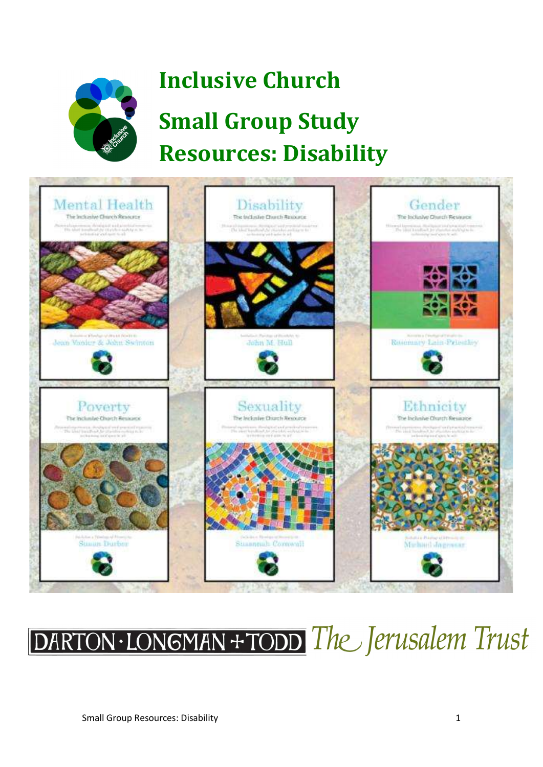

## Inclusive Church Small Group Study Resources: Disability



## DARTON·LONGMAN+TODD The Jerusalem Trust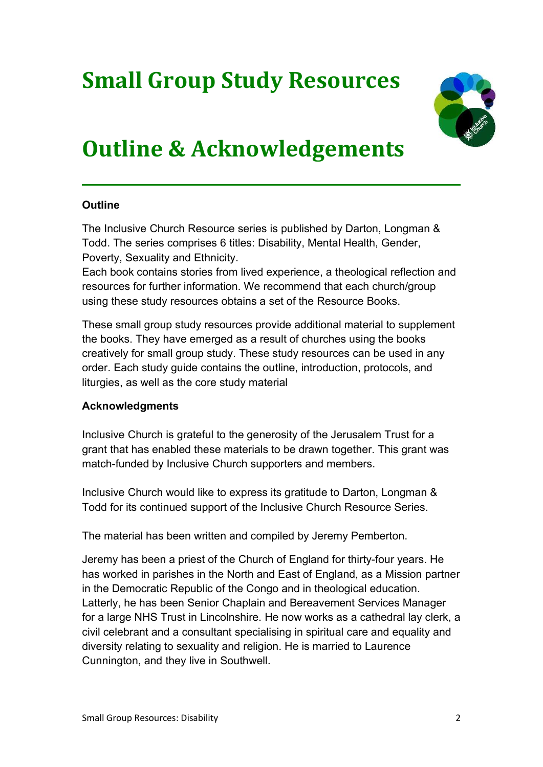### Small Group Study Resources



### Outline & Acknowledgements

### **Outline**

The Inclusive Church Resource series is published by Darton, Longman & Todd. The series comprises 6 titles: Disability, Mental Health, Gender, Poverty, Sexuality and Ethnicity.

Each book contains stories from lived experience, a theological reflection and resources for further information. We recommend that each church/group using these study resources obtains a set of the Resource Books.

These small group study resources provide additional material to supplement the books. They have emerged as a result of churches using the books creatively for small group study. These study resources can be used in any order. Each study guide contains the outline, introduction, protocols, and liturgies, as well as the core study material

### Acknowledgments

Inclusive Church is grateful to the generosity of the Jerusalem Trust for a grant that has enabled these materials to be drawn together. This grant was match-funded by Inclusive Church supporters and members.

Inclusive Church would like to express its gratitude to Darton, Longman & Todd for its continued support of the Inclusive Church Resource Series.

The material has been written and compiled by Jeremy Pemberton.

Jeremy has been a priest of the Church of England for thirty-four years. He has worked in parishes in the North and East of England, as a Mission partner in the Democratic Republic of the Congo and in theological education. Latterly, he has been Senior Chaplain and Bereavement Services Manager for a large NHS Trust in Lincolnshire. He now works as a cathedral lay clerk, a civil celebrant and a consultant specialising in spiritual care and equality and diversity relating to sexuality and religion. He is married to Laurence Cunnington, and they live in Southwell.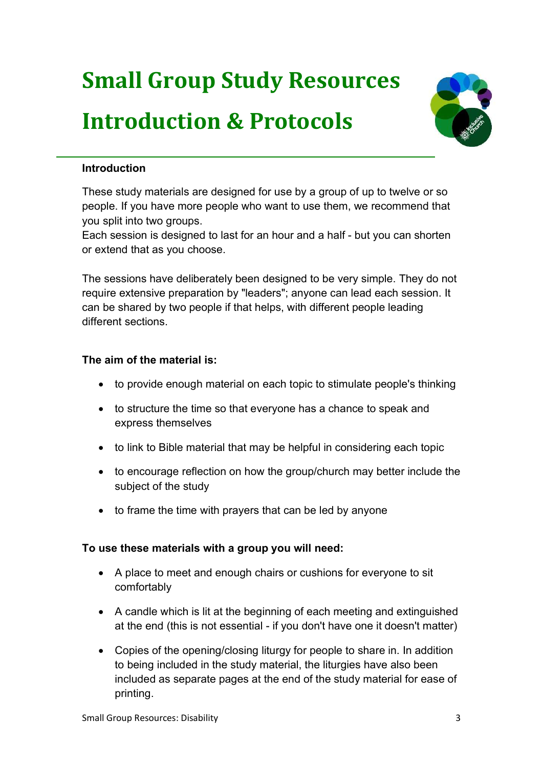# Small Group Study Resources Introduction & Protocols



### Introduction

These study materials are designed for use by a group of up to twelve or so people. If you have more people who want to use them, we recommend that you split into two groups.

Each session is designed to last for an hour and a half - but you can shorten or extend that as you choose.

The sessions have deliberately been designed to be very simple. They do not require extensive preparation by "leaders"; anyone can lead each session. It can be shared by two people if that helps, with different people leading different sections.

### The aim of the material is:

- to provide enough material on each topic to stimulate people's thinking
- to structure the time so that everyone has a chance to speak and express themselves
- to link to Bible material that may be helpful in considering each topic
- to encourage reflection on how the group/church may better include the subject of the study
- to frame the time with prayers that can be led by anyone

### To use these materials with a group you will need:

- A place to meet and enough chairs or cushions for everyone to sit comfortably
- A candle which is lit at the beginning of each meeting and extinguished at the end (this is not essential - if you don't have one it doesn't matter)
- Copies of the opening/closing liturgy for people to share in. In addition to being included in the study material, the liturgies have also been included as separate pages at the end of the study material for ease of printing.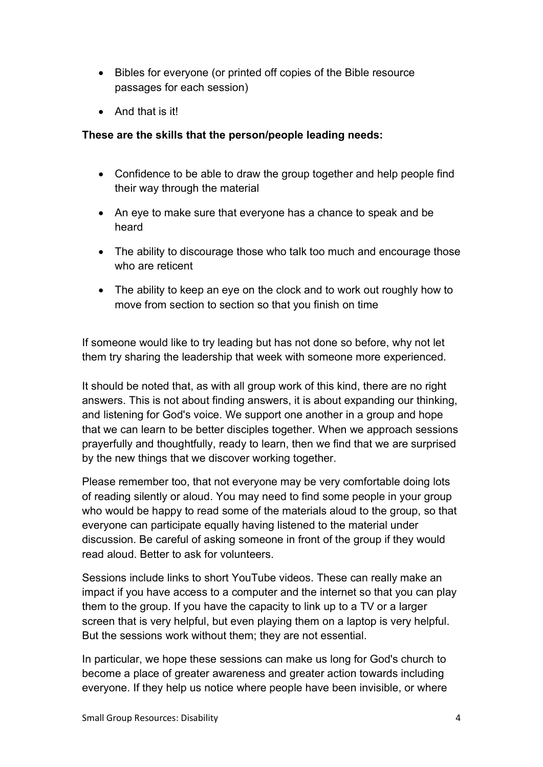- Bibles for everyone (or printed off copies of the Bible resource passages for each session)
- And that is it!

### These are the skills that the person/people leading needs:

- Confidence to be able to draw the group together and help people find their way through the material
- An eye to make sure that everyone has a chance to speak and be heard
- The ability to discourage those who talk too much and encourage those who are reticent
- The ability to keep an eye on the clock and to work out roughly how to move from section to section so that you finish on time

If someone would like to try leading but has not done so before, why not let them try sharing the leadership that week with someone more experienced.

It should be noted that, as with all group work of this kind, there are no right answers. This is not about finding answers, it is about expanding our thinking, and listening for God's voice. We support one another in a group and hope that we can learn to be better disciples together. When we approach sessions prayerfully and thoughtfully, ready to learn, then we find that we are surprised by the new things that we discover working together.

Please remember too, that not everyone may be very comfortable doing lots of reading silently or aloud. You may need to find some people in your group who would be happy to read some of the materials aloud to the group, so that everyone can participate equally having listened to the material under discussion. Be careful of asking someone in front of the group if they would read aloud. Better to ask for volunteers.

Sessions include links to short YouTube videos. These can really make an impact if you have access to a computer and the internet so that you can play them to the group. If you have the capacity to link up to a TV or a larger screen that is very helpful, but even playing them on a laptop is very helpful. But the sessions work without them; they are not essential.

In particular, we hope these sessions can make us long for God's church to become a place of greater awareness and greater action towards including everyone. If they help us notice where people have been invisible, or where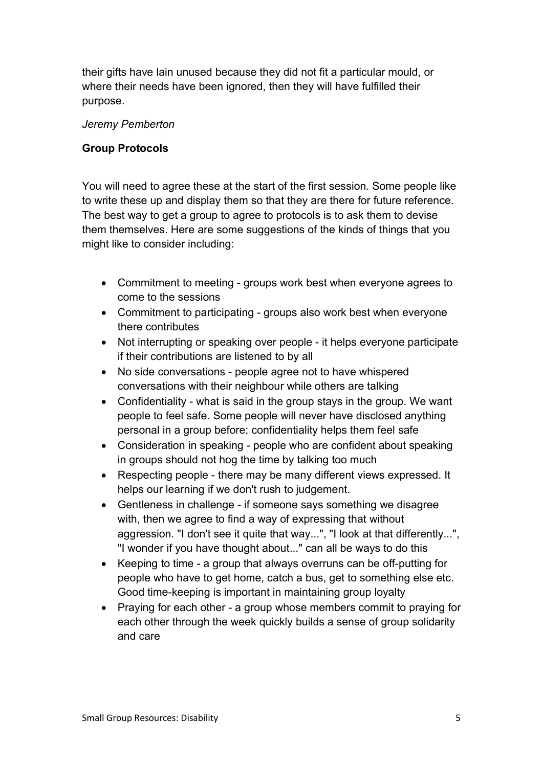their gifts have lain unused because they did not fit a particular mould, or where their needs have been ignored, then they will have fulfilled their purpose.

#### Jeremy Pemberton

### Group Protocols

You will need to agree these at the start of the first session. Some people like to write these up and display them so that they are there for future reference. The best way to get a group to agree to protocols is to ask them to devise them themselves. Here are some suggestions of the kinds of things that you might like to consider including:

- Commitment to meeting groups work best when everyone agrees to come to the sessions
- Commitment to participating groups also work best when everyone there contributes
- Not interrupting or speaking over people it helps everyone participate if their contributions are listened to by all
- No side conversations people agree not to have whispered conversations with their neighbour while others are talking
- Confidentiality what is said in the group stays in the group. We want people to feel safe. Some people will never have disclosed anything personal in a group before; confidentiality helps them feel safe
- Consideration in speaking people who are confident about speaking in groups should not hog the time by talking too much
- Respecting people there may be many different views expressed. It helps our learning if we don't rush to judgement.
- Gentleness in challenge if someone says something we disagree with, then we agree to find a way of expressing that without aggression. "I don't see it quite that way...", "I look at that differently...", "I wonder if you have thought about..." can all be ways to do this
- Keeping to time a group that always overruns can be off-putting for people who have to get home, catch a bus, get to something else etc. Good time-keeping is important in maintaining group loyalty
- Praying for each other a group whose members commit to praying for each other through the week quickly builds a sense of group solidarity and care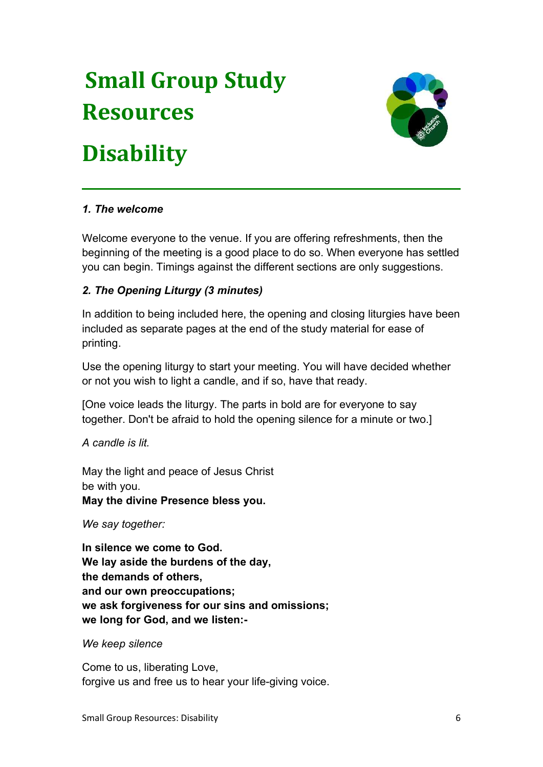## Small Group Study Resources

### **Disability**



### 1. The welcome

Welcome everyone to the venue. If you are offering refreshments, then the beginning of the meeting is a good place to do so. When everyone has settled you can begin. Timings against the different sections are only suggestions.

### 2. The Opening Liturgy (3 minutes)

In addition to being included here, the opening and closing liturgies have been included as separate pages at the end of the study material for ease of printing.

Use the opening liturgy to start your meeting. You will have decided whether or not you wish to light a candle, and if so, have that ready.

[One voice leads the liturgy. The parts in bold are for everyone to say together. Don't be afraid to hold the opening silence for a minute or two.]

A candle is lit.

May the light and peace of Jesus Christ be with you.

May the divine Presence bless you.

We say together:

In silence we come to God. We lay aside the burdens of the day, the demands of others, and our own preoccupations; we ask forgiveness for our sins and omissions; we long for God, and we listen:-

We keep silence

Come to us, liberating Love, forgive us and free us to hear your life-giving voice.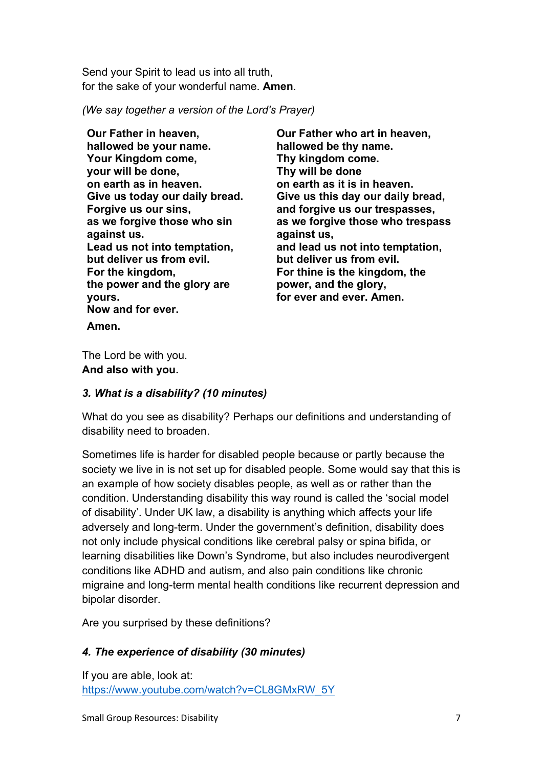Send your Spirit to lead us into all truth, for the sake of your wonderful name. Amen.

(We say together a version of the Lord's Prayer)

Our Father in heaven, hallowed be your name. Your Kingdom come, your will be done, on earth as in heaven. Give us today our daily bread. Forgive us our sins, as we forgive those who sin against us. Lead us not into temptation, but deliver us from evil. For the kingdom, the power and the glory are yours. Now and for ever. Amen.

Our Father who art in heaven, hallowed be thy name. Thy kingdom come. Thy will be done on earth as it is in heaven. Give us this day our daily bread, and forgive us our trespasses, as we forgive those who trespass against us, and lead us not into temptation, but deliver us from evil. For thine is the kingdom, the power, and the glory, for ever and ever. Amen.

The Lord be with you. And also with you.

### 3. What is a disability? (10 minutes)

What do you see as disability? Perhaps our definitions and understanding of disability need to broaden.

Sometimes life is harder for disabled people because or partly because the society we live in is not set up for disabled people. Some would say that this is an example of how society disables people, as well as or rather than the condition. Understanding disability this way round is called the 'social model of disability'. Under UK law, a disability is anything which affects your life adversely and long-term. Under the government's definition, disability does not only include physical conditions like cerebral palsy or spina bifida, or learning disabilities like Down's Syndrome, but also includes neurodivergent conditions like ADHD and autism, and also pain conditions like chronic migraine and long-term mental health conditions like recurrent depression and bipolar disorder.

Are you surprised by these definitions?

### 4. The experience of disability (30 minutes)

If you are able, look at: https://www.youtube.com/watch?v=CL8GMxRW\_5Y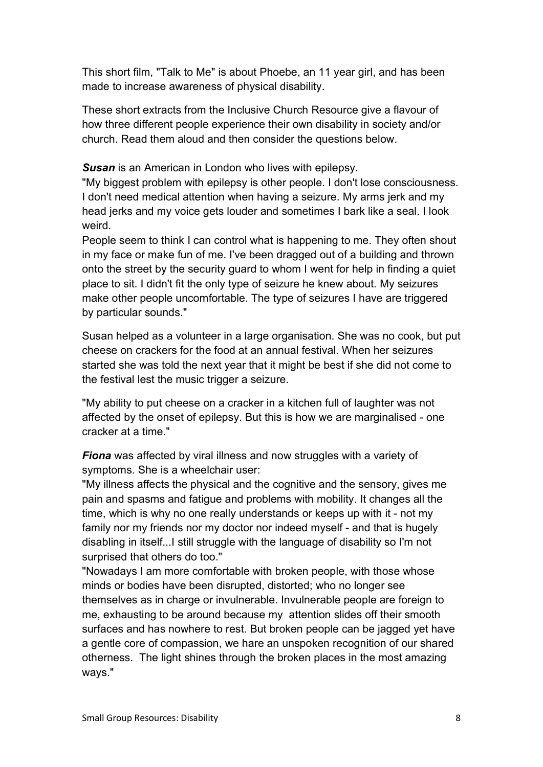This short film, "Talk to Me" is about Phoebe, an 11 year girl, and has been made to increase awareness of physical disability.

These short extracts from the Inclusive Church Resource give a flavour of how three different people experience their own disability in society and/or church. Read them aloud and then consider the questions below.

Susan is an American in London who lives with epilepsy.

"My biggest problem with epilepsy is other people. I don't lose consciousness. I don't need medical attention when having a seizure. My arms jerk and my head jerks and my voice gets louder and sometimes I bark like a seal. I look weird.

People seem to think I can control what is happening to me. They often shout in my face or make fun of me. I've been dragged out of a building and thrown onto the street by the security guard to whom I went for help in finding a quiet place to sit. I didn't fit the only type of seizure he knew about. My seizures make other people uncomfortable. The type of seizures I have are triggered by particular sounds."

Susan helped as a volunteer in a large organisation. She was no cook, but put cheese on crackers for the food at an annual festival. When her seizures started she was told the next year that it might be best if she did not come to the festival lest the music trigger a seizure.

"My ability to put cheese on a cracker in a kitchen full of laughter was not affected by the onset of epilepsy. But this is how we are marginalised - one cracker at a time."

**Fiona** was affected by viral illness and now struggles with a variety of symptoms. She is a wheelchair user:

"My illness affects the physical and the cognitive and the sensory, gives me pain and spasms and fatigue and problems with mobility. It changes all the time, which is why no one really understands or keeps up with it - not my family nor my friends nor my doctor nor indeed myself - and that is hugely disabling in itself...I still struggle with the language of disability so I'm not surprised that others do too."

"Nowadays I am more comfortable with broken people, with those whose minds or bodies have been disrupted, distorted; who no longer see themselves as in charge or invulnerable. Invulnerable people are foreign to me, exhausting to be around because my attention slides off their smooth surfaces and has nowhere to rest. But broken people can be jagged yet have a gentle core of compassion, we hare an unspoken recognition of our shared otherness. The light shines through the broken places in the most amazing ways."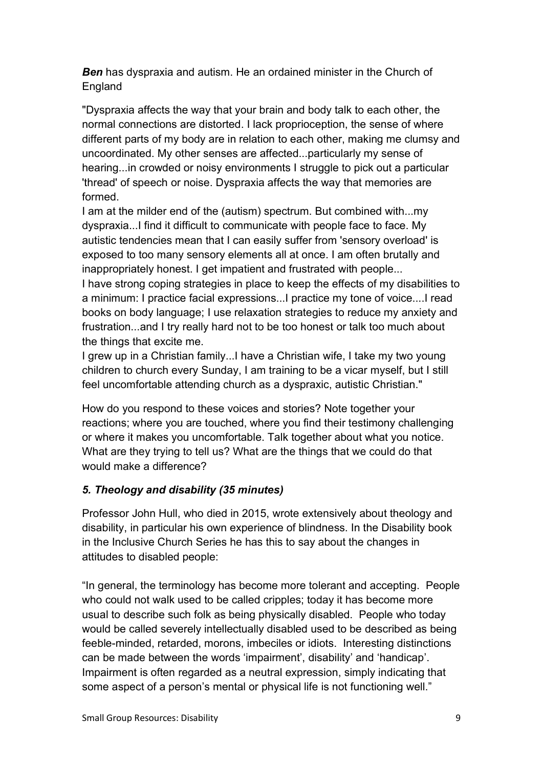**Ben** has dyspraxia and autism. He an ordained minister in the Church of England

"Dyspraxia affects the way that your brain and body talk to each other, the normal connections are distorted. I lack proprioception, the sense of where different parts of my body are in relation to each other, making me clumsy and uncoordinated. My other senses are affected...particularly my sense of hearing...in crowded or noisy environments I struggle to pick out a particular 'thread' of speech or noise. Dyspraxia affects the way that memories are formed.

I am at the milder end of the (autism) spectrum. But combined with...my dyspraxia...I find it difficult to communicate with people face to face. My autistic tendencies mean that I can easily suffer from 'sensory overload' is exposed to too many sensory elements all at once. I am often brutally and inappropriately honest. I get impatient and frustrated with people...

I have strong coping strategies in place to keep the effects of my disabilities to a minimum: I practice facial expressions...I practice my tone of voice....I read books on body language; I use relaxation strategies to reduce my anxiety and frustration...and I try really hard not to be too honest or talk too much about the things that excite me.

I grew up in a Christian family...I have a Christian wife, I take my two young children to church every Sunday, I am training to be a vicar myself, but I still feel uncomfortable attending church as a dyspraxic, autistic Christian."

How do you respond to these voices and stories? Note together your reactions; where you are touched, where you find their testimony challenging or where it makes you uncomfortable. Talk together about what you notice. What are they trying to tell us? What are the things that we could do that would make a difference?

### 5. Theology and disability (35 minutes)

Professor John Hull, who died in 2015, wrote extensively about theology and disability, in particular his own experience of blindness. In the Disability book in the Inclusive Church Series he has this to say about the changes in attitudes to disabled people:

"In general, the terminology has become more tolerant and accepting. People who could not walk used to be called cripples; today it has become more usual to describe such folk as being physically disabled. People who today would be called severely intellectually disabled used to be described as being feeble-minded, retarded, morons, imbeciles or idiots. Interesting distinctions can be made between the words 'impairment', disability' and 'handicap'. Impairment is often regarded as a neutral expression, simply indicating that some aspect of a person's mental or physical life is not functioning well."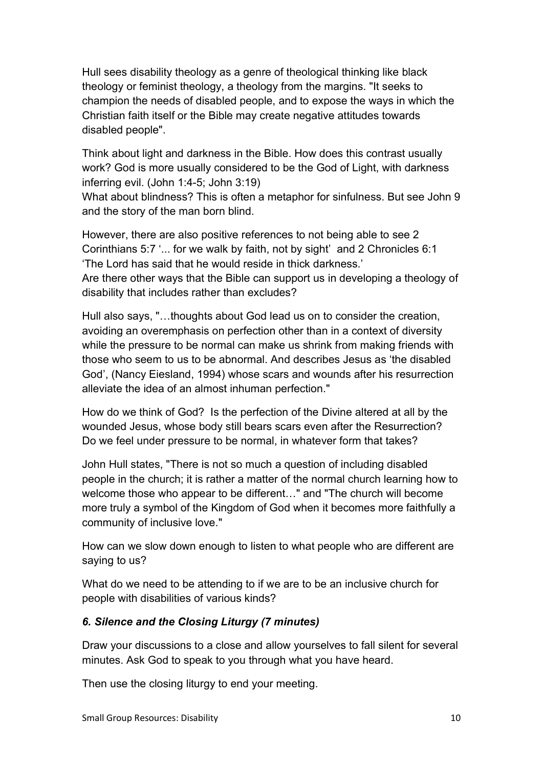Hull sees disability theology as a genre of theological thinking like black theology or feminist theology, a theology from the margins. "It seeks to champion the needs of disabled people, and to expose the ways in which the Christian faith itself or the Bible may create negative attitudes towards disabled people".

Think about light and darkness in the Bible. How does this contrast usually work? God is more usually considered to be the God of Light, with darkness inferring evil. (John 1:4-5; John 3:19)

What about blindness? This is often a metaphor for sinfulness. But see John 9 and the story of the man born blind.

However, there are also positive references to not being able to see 2 Corinthians 5:7 '... for we walk by faith, not by sight' and 2 Chronicles 6:1 'The Lord has said that he would reside in thick darkness.'

Are there other ways that the Bible can support us in developing a theology of disability that includes rather than excludes?

Hull also says, "…thoughts about God lead us on to consider the creation, avoiding an overemphasis on perfection other than in a context of diversity while the pressure to be normal can make us shrink from making friends with those who seem to us to be abnormal. And describes Jesus as 'the disabled God', (Nancy Eiesland, 1994) whose scars and wounds after his resurrection alleviate the idea of an almost inhuman perfection."

How do we think of God? Is the perfection of the Divine altered at all by the wounded Jesus, whose body still bears scars even after the Resurrection? Do we feel under pressure to be normal, in whatever form that takes?

John Hull states, "There is not so much a question of including disabled people in the church; it is rather a matter of the normal church learning how to welcome those who appear to be different…" and "The church will become more truly a symbol of the Kingdom of God when it becomes more faithfully a community of inclusive love."

How can we slow down enough to listen to what people who are different are saying to us?

What do we need to be attending to if we are to be an inclusive church for people with disabilities of various kinds?

### 6. Silence and the Closing Liturgy (7 minutes)

Draw your discussions to a close and allow yourselves to fall silent for several minutes. Ask God to speak to you through what you have heard.

Then use the closing liturgy to end your meeting.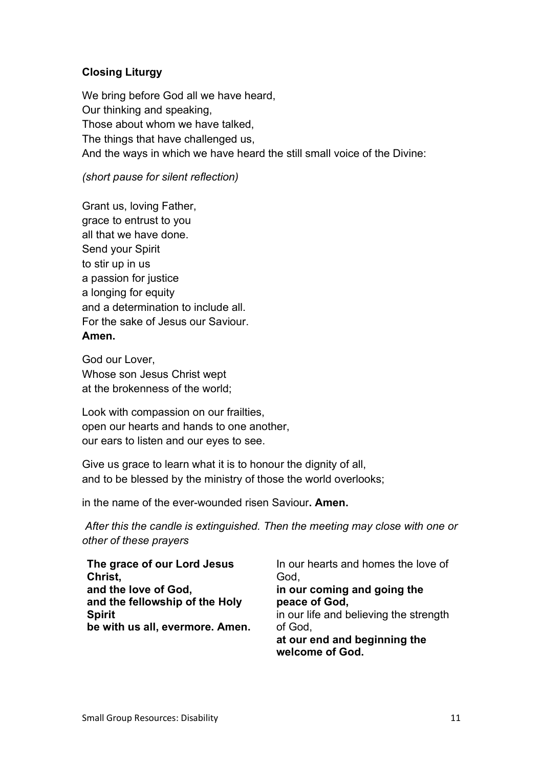### Closing Liturgy

We bring before God all we have heard, Our thinking and speaking, Those about whom we have talked, The things that have challenged us, And the ways in which we have heard the still small voice of the Divine:

### (short pause for silent reflection)

Grant us, loving Father, grace to entrust to you all that we have done. Send your Spirit to stir up in us a passion for justice a longing for equity and a determination to include all. For the sake of Jesus our Saviour. Amen.

God our Lover, Whose son Jesus Christ wept at the brokenness of the world;

Look with compassion on our frailties, open our hearts and hands to one another, our ears to listen and our eyes to see.

Give us grace to learn what it is to honour the dignity of all, and to be blessed by the ministry of those the world overlooks;

in the name of the ever-wounded risen Saviour. Amen.

 After this the candle is extinguished. Then the meeting may close with one or other of these prayers

| The grace of our Lord Jesus<br>Christ, | In our hearts and homes the love of<br>God,     |
|----------------------------------------|-------------------------------------------------|
| and the love of God,                   | in our coming and going the                     |
| and the fellowship of the Holy         | peace of God,                                   |
| <b>Spirit</b>                          | in our life and believing the strength          |
| be with us all, evermore. Amen.        | of God,                                         |
|                                        | at our end and beginning the<br>welcome of God. |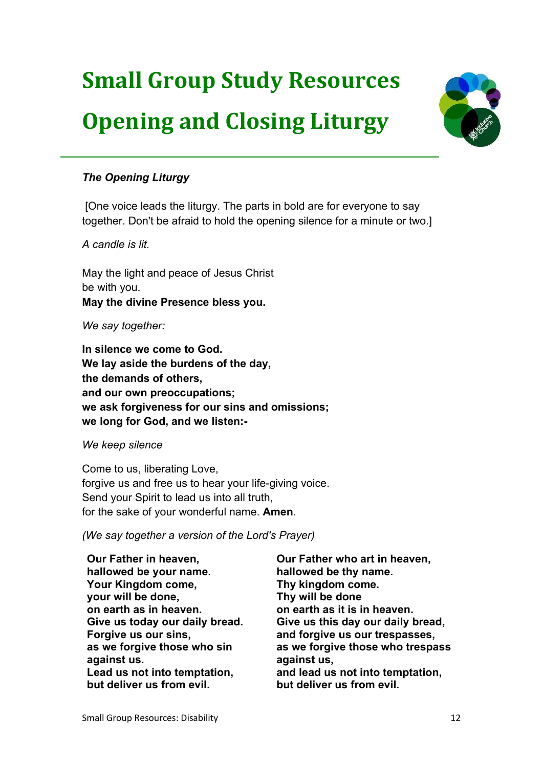# Small Group Study Resources Opening and Closing Liturgy



### The Opening Liturgy

 [One voice leads the liturgy. The parts in bold are for everyone to say together. Don't be afraid to hold the opening silence for a minute or two.]

A candle is lit.

May the light and peace of Jesus Christ be with you. May the divine Presence bless you.

We say together:

In silence we come to God. We lay aside the burdens of the day, the demands of others, and our own preoccupations; we ask forgiveness for our sins and omissions; we long for God, and we listen:-

We keep silence

Come to us, liberating Love, forgive us and free us to hear your life-giving voice. Send your Spirit to lead us into all truth, for the sake of your wonderful name. Amen.

(We say together a version of the Lord's Prayer)

Our Father in heaven, hallowed be your name. Your Kingdom come, your will be done, on earth as in heaven. Give us today our daily bread. Forgive us our sins, as we forgive those who sin against us. Lead us not into temptation, but deliver us from evil.

Our Father who art in heaven, hallowed be thy name. Thy kingdom come. Thy will be done on earth as it is in heaven. Give us this day our daily bread, and forgive us our trespasses, as we forgive those who trespass against us, and lead us not into temptation, but deliver us from evil.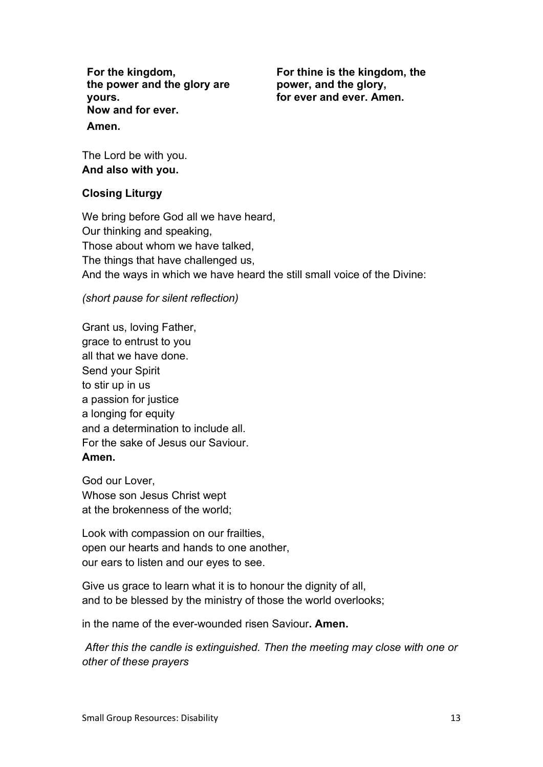For the kingdom, the power and the glory are yours. Now and for ever. Amen.

For thine is the kingdom, the power, and the glory, for ever and ever. Amen.

The Lord be with you. And also with you.

### Closing Liturgy

We bring before God all we have heard, Our thinking and speaking, Those about whom we have talked, The things that have challenged us, And the ways in which we have heard the still small voice of the Divine:

(short pause for silent reflection)

Grant us, loving Father, grace to entrust to you all that we have done. Send your Spirit to stir up in us a passion for justice a longing for equity and a determination to include all. For the sake of Jesus our Saviour. Amen.

God our Lover, Whose son Jesus Christ wept at the brokenness of the world;

Look with compassion on our frailties, open our hearts and hands to one another, our ears to listen and our eyes to see.

Give us grace to learn what it is to honour the dignity of all. and to be blessed by the ministry of those the world overlooks;

in the name of the ever-wounded risen Saviour. Amen.

 After this the candle is extinguished. Then the meeting may close with one or other of these prayers